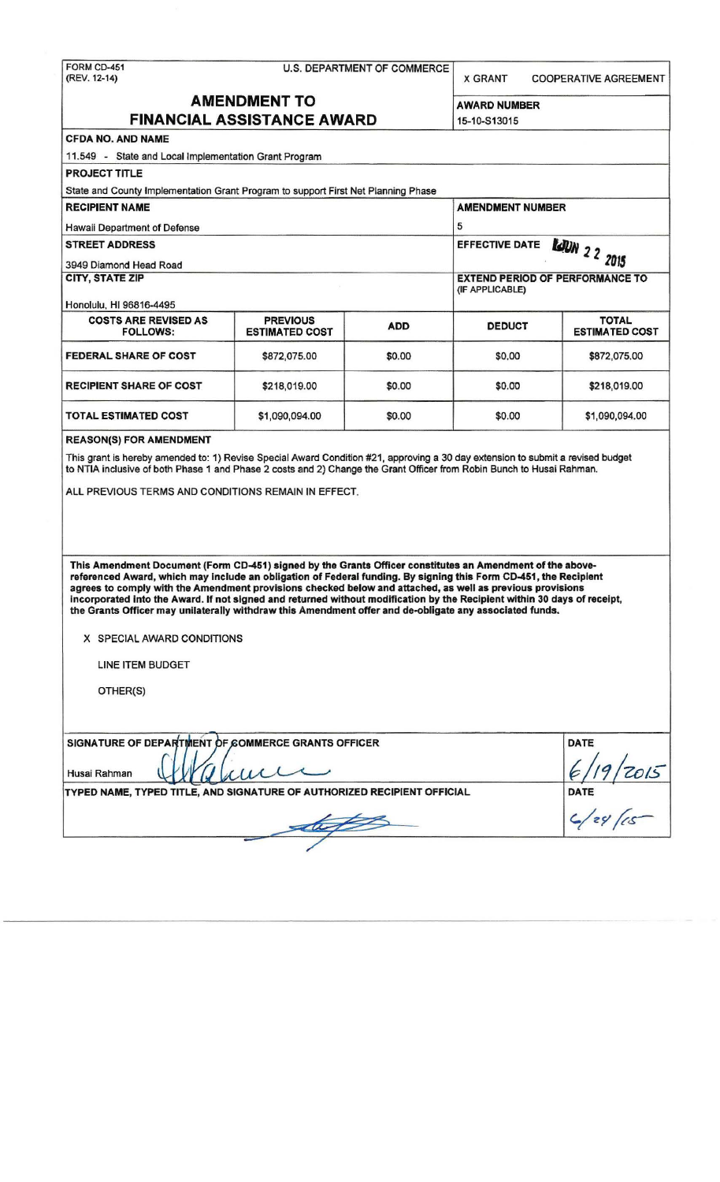| <b>AMENDMENT TO</b><br><b>AWARD NUMBER</b><br><b>FINANCIAL ASSISTANCE AWARD</b><br>15-10-S13015<br><b>CFDA NO. AND NAME</b><br>11.549 - State and Local Implementation Grant Program<br><b>PROJECT TITLE</b><br>State and County Implementation Grant Program to support First Net Planning Phase<br><b>RECIPIENT NAME</b><br><b>AMENDMENT NUMBER</b><br>5<br>Hawaii Department of Defense<br><b>STREET ADDRESS</b><br><b>EFFECTIVE DATE</b><br><b>LJUN</b> 2 2 2015<br>3949 Diamond Head Road<br><b>CITY, STATE ZIP</b><br><b>EXTEND PERIOD OF PERFORMANCE TO</b><br>(IF APPLICABLE)<br>Honolulu, HI 96816-4495<br><b>COSTS ARE REVISED AS</b><br><b>PREVIOUS</b><br><b>ADD</b><br><b>DEDUCT</b><br><b>ESTIMATED COST</b><br><b>FOLLOWS:</b><br><b>FEDERAL SHARE OF COST</b><br>\$0.00<br>\$0.00<br>\$872,075.00<br><b>RECIPIENT SHARE OF COST</b><br>\$218,019.00<br>\$0.00<br>\$0.00<br>TOTAL ESTIMATED COST<br>\$1,090,094.00<br>\$0.00<br>\$0.00<br><b>REASON(S) FOR AMENDMENT</b><br>This grant is hereby amended to: 1) Revise Special Award Condition #21, approving a 30 day extension to submit a revised budget<br>to NTIA inclusive of both Phase 1 and Phase 2 costs and 2) Change the Grant Officer from Robin Bunch to Husai Rahman.<br>ALL PREVIOUS TERMS AND CONDITIONS REMAIN IN EFFECT.<br>This Amendment Document (Form CD-451) signed by the Grants Officer constitutes an Amendment of the above-<br>referenced Award, which may include an obligation of Federal funding. By signing this Form CD-451, the Recipient<br>agrees to comply with the Amendment provisions checked below and attached, as well as previous provisions<br>incorporated into the Award. If not signed and returned without modification by the Recipient within 30 days of receipt,<br>the Grants Officer may unilaterally withdraw this Amendment offer and de-obligate any associated funds.<br>X SPECIAL AWARD CONDITIONS<br>LINE ITEM BUDGET<br>OTHER(S)<br>SIGNATURE OF DEPARTMENT OF COMMERCE GRANTS OFFICER | FORM CD-451<br>(REV. 12-14) | <b>U.S. DEPARTMENT OF COMMERCE</b><br><b>X GRANT</b> |  |  |                                       |  |
|---------------------------------------------------------------------------------------------------------------------------------------------------------------------------------------------------------------------------------------------------------------------------------------------------------------------------------------------------------------------------------------------------------------------------------------------------------------------------------------------------------------------------------------------------------------------------------------------------------------------------------------------------------------------------------------------------------------------------------------------------------------------------------------------------------------------------------------------------------------------------------------------------------------------------------------------------------------------------------------------------------------------------------------------------------------------------------------------------------------------------------------------------------------------------------------------------------------------------------------------------------------------------------------------------------------------------------------------------------------------------------------------------------------------------------------------------------------------------------------------------------------------------------------------------------------------------------------------------------------------------------------------------------------------------------------------------------------------------------------------------------------------------------------------------------------------------------------------------------------------------------------------------------------------------------------------------------------------------------------------------------------------|-----------------------------|------------------------------------------------------|--|--|---------------------------------------|--|
|                                                                                                                                                                                                                                                                                                                                                                                                                                                                                                                                                                                                                                                                                                                                                                                                                                                                                                                                                                                                                                                                                                                                                                                                                                                                                                                                                                                                                                                                                                                                                                                                                                                                                                                                                                                                                                                                                                                                                                                                                     |                             |                                                      |  |  |                                       |  |
|                                                                                                                                                                                                                                                                                                                                                                                                                                                                                                                                                                                                                                                                                                                                                                                                                                                                                                                                                                                                                                                                                                                                                                                                                                                                                                                                                                                                                                                                                                                                                                                                                                                                                                                                                                                                                                                                                                                                                                                                                     |                             |                                                      |  |  |                                       |  |
|                                                                                                                                                                                                                                                                                                                                                                                                                                                                                                                                                                                                                                                                                                                                                                                                                                                                                                                                                                                                                                                                                                                                                                                                                                                                                                                                                                                                                                                                                                                                                                                                                                                                                                                                                                                                                                                                                                                                                                                                                     |                             |                                                      |  |  |                                       |  |
|                                                                                                                                                                                                                                                                                                                                                                                                                                                                                                                                                                                                                                                                                                                                                                                                                                                                                                                                                                                                                                                                                                                                                                                                                                                                                                                                                                                                                                                                                                                                                                                                                                                                                                                                                                                                                                                                                                                                                                                                                     |                             |                                                      |  |  |                                       |  |
|                                                                                                                                                                                                                                                                                                                                                                                                                                                                                                                                                                                                                                                                                                                                                                                                                                                                                                                                                                                                                                                                                                                                                                                                                                                                                                                                                                                                                                                                                                                                                                                                                                                                                                                                                                                                                                                                                                                                                                                                                     |                             |                                                      |  |  |                                       |  |
|                                                                                                                                                                                                                                                                                                                                                                                                                                                                                                                                                                                                                                                                                                                                                                                                                                                                                                                                                                                                                                                                                                                                                                                                                                                                                                                                                                                                                                                                                                                                                                                                                                                                                                                                                                                                                                                                                                                                                                                                                     |                             |                                                      |  |  |                                       |  |
|                                                                                                                                                                                                                                                                                                                                                                                                                                                                                                                                                                                                                                                                                                                                                                                                                                                                                                                                                                                                                                                                                                                                                                                                                                                                                                                                                                                                                                                                                                                                                                                                                                                                                                                                                                                                                                                                                                                                                                                                                     |                             |                                                      |  |  |                                       |  |
|                                                                                                                                                                                                                                                                                                                                                                                                                                                                                                                                                                                                                                                                                                                                                                                                                                                                                                                                                                                                                                                                                                                                                                                                                                                                                                                                                                                                                                                                                                                                                                                                                                                                                                                                                                                                                                                                                                                                                                                                                     |                             |                                                      |  |  |                                       |  |
|                                                                                                                                                                                                                                                                                                                                                                                                                                                                                                                                                                                                                                                                                                                                                                                                                                                                                                                                                                                                                                                                                                                                                                                                                                                                                                                                                                                                                                                                                                                                                                                                                                                                                                                                                                                                                                                                                                                                                                                                                     |                             |                                                      |  |  |                                       |  |
|                                                                                                                                                                                                                                                                                                                                                                                                                                                                                                                                                                                                                                                                                                                                                                                                                                                                                                                                                                                                                                                                                                                                                                                                                                                                                                                                                                                                                                                                                                                                                                                                                                                                                                                                                                                                                                                                                                                                                                                                                     |                             |                                                      |  |  |                                       |  |
|                                                                                                                                                                                                                                                                                                                                                                                                                                                                                                                                                                                                                                                                                                                                                                                                                                                                                                                                                                                                                                                                                                                                                                                                                                                                                                                                                                                                                                                                                                                                                                                                                                                                                                                                                                                                                                                                                                                                                                                                                     |                             |                                                      |  |  |                                       |  |
|                                                                                                                                                                                                                                                                                                                                                                                                                                                                                                                                                                                                                                                                                                                                                                                                                                                                                                                                                                                                                                                                                                                                                                                                                                                                                                                                                                                                                                                                                                                                                                                                                                                                                                                                                                                                                                                                                                                                                                                                                     |                             |                                                      |  |  |                                       |  |
|                                                                                                                                                                                                                                                                                                                                                                                                                                                                                                                                                                                                                                                                                                                                                                                                                                                                                                                                                                                                                                                                                                                                                                                                                                                                                                                                                                                                                                                                                                                                                                                                                                                                                                                                                                                                                                                                                                                                                                                                                     |                             |                                                      |  |  |                                       |  |
|                                                                                                                                                                                                                                                                                                                                                                                                                                                                                                                                                                                                                                                                                                                                                                                                                                                                                                                                                                                                                                                                                                                                                                                                                                                                                                                                                                                                                                                                                                                                                                                                                                                                                                                                                                                                                                                                                                                                                                                                                     |                             |                                                      |  |  | <b>TOTAL</b><br><b>ESTIMATED COST</b> |  |
|                                                                                                                                                                                                                                                                                                                                                                                                                                                                                                                                                                                                                                                                                                                                                                                                                                                                                                                                                                                                                                                                                                                                                                                                                                                                                                                                                                                                                                                                                                                                                                                                                                                                                                                                                                                                                                                                                                                                                                                                                     |                             |                                                      |  |  | \$872,075.00                          |  |
|                                                                                                                                                                                                                                                                                                                                                                                                                                                                                                                                                                                                                                                                                                                                                                                                                                                                                                                                                                                                                                                                                                                                                                                                                                                                                                                                                                                                                                                                                                                                                                                                                                                                                                                                                                                                                                                                                                                                                                                                                     |                             |                                                      |  |  | \$218,019.00                          |  |
|                                                                                                                                                                                                                                                                                                                                                                                                                                                                                                                                                                                                                                                                                                                                                                                                                                                                                                                                                                                                                                                                                                                                                                                                                                                                                                                                                                                                                                                                                                                                                                                                                                                                                                                                                                                                                                                                                                                                                                                                                     |                             |                                                      |  |  | \$1,090,094.00                        |  |
|                                                                                                                                                                                                                                                                                                                                                                                                                                                                                                                                                                                                                                                                                                                                                                                                                                                                                                                                                                                                                                                                                                                                                                                                                                                                                                                                                                                                                                                                                                                                                                                                                                                                                                                                                                                                                                                                                                                                                                                                                     |                             |                                                      |  |  |                                       |  |
|                                                                                                                                                                                                                                                                                                                                                                                                                                                                                                                                                                                                                                                                                                                                                                                                                                                                                                                                                                                                                                                                                                                                                                                                                                                                                                                                                                                                                                                                                                                                                                                                                                                                                                                                                                                                                                                                                                                                                                                                                     |                             |                                                      |  |  |                                       |  |
|                                                                                                                                                                                                                                                                                                                                                                                                                                                                                                                                                                                                                                                                                                                                                                                                                                                                                                                                                                                                                                                                                                                                                                                                                                                                                                                                                                                                                                                                                                                                                                                                                                                                                                                                                                                                                                                                                                                                                                                                                     |                             |                                                      |  |  |                                       |  |
|                                                                                                                                                                                                                                                                                                                                                                                                                                                                                                                                                                                                                                                                                                                                                                                                                                                                                                                                                                                                                                                                                                                                                                                                                                                                                                                                                                                                                                                                                                                                                                                                                                                                                                                                                                                                                                                                                                                                                                                                                     |                             |                                                      |  |  |                                       |  |
|                                                                                                                                                                                                                                                                                                                                                                                                                                                                                                                                                                                                                                                                                                                                                                                                                                                                                                                                                                                                                                                                                                                                                                                                                                                                                                                                                                                                                                                                                                                                                                                                                                                                                                                                                                                                                                                                                                                                                                                                                     |                             |                                                      |  |  |                                       |  |
|                                                                                                                                                                                                                                                                                                                                                                                                                                                                                                                                                                                                                                                                                                                                                                                                                                                                                                                                                                                                                                                                                                                                                                                                                                                                                                                                                                                                                                                                                                                                                                                                                                                                                                                                                                                                                                                                                                                                                                                                                     |                             |                                                      |  |  | <b>DATE</b>                           |  |
| Husai Rahman                                                                                                                                                                                                                                                                                                                                                                                                                                                                                                                                                                                                                                                                                                                                                                                                                                                                                                                                                                                                                                                                                                                                                                                                                                                                                                                                                                                                                                                                                                                                                                                                                                                                                                                                                                                                                                                                                                                                                                                                        |                             |                                                      |  |  |                                       |  |
| TYPED NAME, TYPED TITLE, AND SIGNATURE OF AUTHORIZED RECIPIENT OFFICIAL                                                                                                                                                                                                                                                                                                                                                                                                                                                                                                                                                                                                                                                                                                                                                                                                                                                                                                                                                                                                                                                                                                                                                                                                                                                                                                                                                                                                                                                                                                                                                                                                                                                                                                                                                                                                                                                                                                                                             |                             | DATE                                                 |  |  |                                       |  |
|                                                                                                                                                                                                                                                                                                                                                                                                                                                                                                                                                                                                                                                                                                                                                                                                                                                                                                                                                                                                                                                                                                                                                                                                                                                                                                                                                                                                                                                                                                                                                                                                                                                                                                                                                                                                                                                                                                                                                                                                                     |                             |                                                      |  |  |                                       |  |